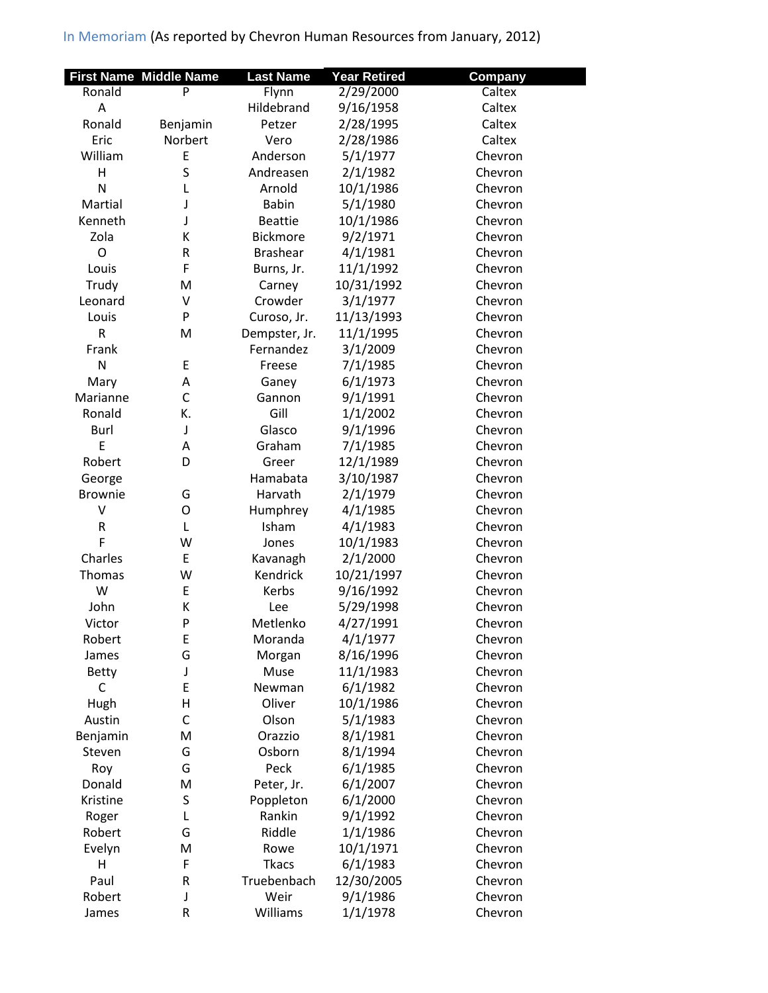|                              | <b>First Name Middle Name</b> | <b>Last Name</b> | <b>Year Retired</b> | Company |
|------------------------------|-------------------------------|------------------|---------------------|---------|
| Ronald                       | P                             | Flynn            | 2/29/2000           | Caltex  |
| A                            |                               | Hildebrand       | 9/16/1958           | Caltex  |
| Ronald                       | Benjamin                      | Petzer           | 2/28/1995           | Caltex  |
| Eric                         | Norbert                       | Vero             | 2/28/1986           | Caltex  |
| William                      | E                             | Anderson         | 5/1/1977            | Chevron |
| H                            | S                             | Andreasen        | 2/1/1982            | Chevron |
| N                            | L                             | Arnold           | 10/1/1986           | Chevron |
| Martial                      | J                             | <b>Babin</b>     | 5/1/1980            | Chevron |
| Kenneth                      | J                             | <b>Beattie</b>   | 10/1/1986           | Chevron |
| Zola                         | К                             | <b>Bickmore</b>  | 9/2/1971            | Chevron |
| $\mathsf{O}$                 | R                             | <b>Brashear</b>  | 4/1/1981            | Chevron |
| Louis                        | F                             | Burns, Jr.       | 11/1/1992           | Chevron |
| Trudy                        | M                             | Carney           | 10/31/1992          | Chevron |
| Leonard                      | $\vee$                        | Crowder          | 3/1/1977            | Chevron |
| Louis                        | P                             | Curoso, Jr.      | 11/13/1993          | Chevron |
| $\mathsf R$                  | M                             | Dempster, Jr.    | 11/1/1995           | Chevron |
| Frank                        |                               | Fernandez        | 3/1/2009            | Chevron |
| N                            | E                             | Freese           | 7/1/1985            | Chevron |
| Mary                         | Α                             | Ganey            | 6/1/1973            | Chevron |
| Marianne                     | $\mathsf{C}$                  | Gannon           | 9/1/1991            | Chevron |
| Ronald                       | К.                            | Gill             | 1/1/2002            | Chevron |
| Burl                         | J                             | Glasco           | 9/1/1996            | Chevron |
| E                            | A                             | Graham           | 7/1/1985            | Chevron |
| Robert                       | D                             | Greer            | 12/1/1989           | Chevron |
| George                       |                               | Hamabata         | 3/10/1987           | Chevron |
| <b>Brownie</b>               | G                             | Harvath          | 2/1/1979            | Chevron |
| V                            | O                             | Humphrey         | 4/1/1985            | Chevron |
| R                            | L                             | Isham            | 4/1/1983            | Chevron |
| F                            | W                             | Jones            | 10/1/1983           | Chevron |
| Charles                      | E                             | Kavanagh         | 2/1/2000            | Chevron |
| Thomas                       | W                             | Kendrick         | 10/21/1997          | Chevron |
| W                            | E                             | Kerbs            | 9/16/1992           | Chevron |
| John                         | K                             | Lee              | 5/29/1998           | Chevron |
| Victor                       | P                             | Metlenko         | 4/27/1991           | Chevron |
| Robert                       | Ε                             | Moranda          | 4/1/1977            | Chevron |
| James                        | G                             | Morgan           | 8/16/1996           | Chevron |
|                              |                               | Muse             |                     |         |
| <b>Betty</b><br>$\mathsf{C}$ | J<br>E                        |                  | 11/1/1983           | Chevron |
|                              | Н                             | Newman<br>Oliver | 6/1/1982            | Chevron |
| Hugh                         | C                             |                  | 10/1/1986           | Chevron |
| Austin                       |                               | Olson            | 5/1/1983            | Chevron |
| Benjamin                     | M                             | Orazzio          | 8/1/1981            | Chevron |
| Steven                       | G                             | Osborn           | 8/1/1994            | Chevron |
| Roy                          | G                             | Peck             | 6/1/1985            | Chevron |
| Donald                       | M                             | Peter, Jr.       | 6/1/2007            | Chevron |
| Kristine                     | S                             | Poppleton        | 6/1/2000            | Chevron |
| Roger                        | L                             | Rankin           | 9/1/1992            | Chevron |
| Robert                       | G                             | Riddle           | 1/1/1986            | Chevron |
| Evelyn                       | M                             | Rowe             | 10/1/1971           | Chevron |
| н                            | F                             | <b>Tkacs</b>     | 6/1/1983            | Chevron |
| Paul                         | R                             | Truebenbach      | 12/30/2005          | Chevron |
| Robert                       | J                             | Weir             | 9/1/1986            | Chevron |
| James                        | R                             | Williams         | 1/1/1978            | Chevron |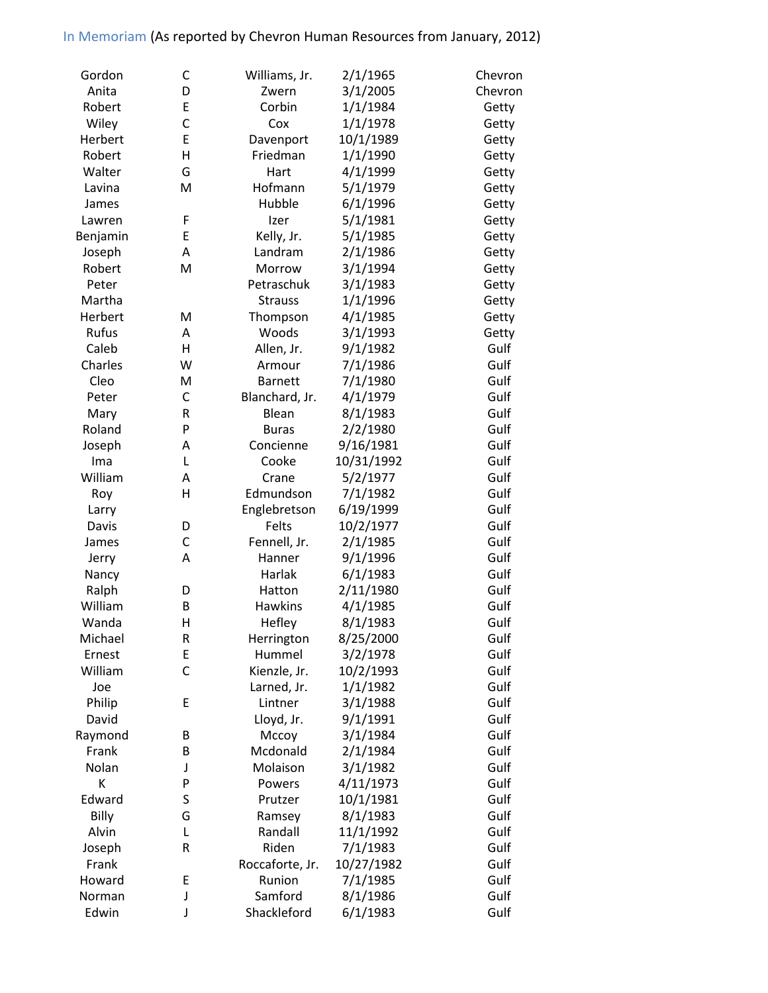| Gordon   | C      | Williams, Jr.   | 2/1/1965   | Chevron |
|----------|--------|-----------------|------------|---------|
| Anita    | D      | Zwern           | 3/1/2005   | Chevron |
| Robert   | E      | Corbin          | 1/1/1984   | Getty   |
| Wiley    | C      | Cox             | 1/1/1978   | Getty   |
| Herbert  | E      | Davenport       | 10/1/1989  | Getty   |
| Robert   | H      | Friedman        | 1/1/1990   | Getty   |
| Walter   | G      | Hart            | 4/1/1999   | Getty   |
| Lavina   | M      | Hofmann         | 5/1/1979   | Getty   |
| James    |        | Hubble          | 6/1/1996   | Getty   |
| Lawren   | F      | Izer            | 5/1/1981   | Getty   |
| Benjamin | E      | Kelly, Jr.      | 5/1/1985   | Getty   |
| Joseph   | A      | Landram         | 2/1/1986   | Getty   |
| Robert   | M      | Morrow          | 3/1/1994   | Getty   |
| Peter    |        | Petraschuk      | 3/1/1983   | Getty   |
| Martha   |        | <b>Strauss</b>  | 1/1/1996   | Getty   |
| Herbert  | M      | Thompson        | 4/1/1985   | Getty   |
| Rufus    | Α      | Woods           | 3/1/1993   | Getty   |
| Caleb    | н      | Allen, Jr.      | 9/1/1982   | Gulf    |
| Charles  | W      | Armour          | 7/1/1986   | Gulf    |
| Cleo     | M      | <b>Barnett</b>  | 7/1/1980   | Gulf    |
| Peter    | C      | Blanchard, Jr.  | 4/1/1979   | Gulf    |
| Mary     | R      | Blean           | 8/1/1983   | Gulf    |
| Roland   | P      | <b>Buras</b>    | 2/2/1980   | Gulf    |
| Joseph   | Α      | Concienne       | 9/16/1981  | Gulf    |
| Ima      | Г      | Cooke           | 10/31/1992 | Gulf    |
| William  | A      | Crane           | 5/2/1977   | Gulf    |
| Roy      | H      | Edmundson       | 7/1/1982   | Gulf    |
| Larry    |        | Englebretson    | 6/19/1999  | Gulf    |
| Davis    | D      | Felts           | 10/2/1977  | Gulf    |
| James    | C      | Fennell, Jr.    | 2/1/1985   | Gulf    |
| Jerry    | A      | Hanner          | 9/1/1996   | Gulf    |
| Nancy    |        | Harlak          | 6/1/1983   | Gulf    |
| Ralph    | D      | Hatton          | 2/11/1980  | Gulf    |
| William  | B      | <b>Hawkins</b>  | 4/1/1985   | Gulf    |
| Wanda    | Н      | Hefley          | 8/1/1983   | Gulf    |
| Michael  | R      | Herrington      | 8/25/2000  | Gulf    |
| Ernest   | E      | Hummel          | 3/2/1978   | Gulf    |
| William  | C      | Kienzle, Jr.    | 10/2/1993  | Gulf    |
| Joe      |        | Larned, Jr.     | 1/1/1982   | Gulf    |
| Philip   | E      | Lintner         | 3/1/1988   | Gulf    |
| David    |        | Lloyd, Jr.      | 9/1/1991   | Gulf    |
| Raymond  | B      | Mccoy           | 3/1/1984   | Gulf    |
| Frank    | B      | Mcdonald        | 2/1/1984   | Gulf    |
| Nolan    | J      | Molaison        | 3/1/1982   | Gulf    |
| К        | P      | Powers          | 4/11/1973  | Gulf    |
| Edward   | S      | Prutzer         | 10/1/1981  | Gulf    |
| Billy    | G      | Ramsey          | 8/1/1983   | Gulf    |
| Alvin    | L      | Randall         | 11/1/1992  | Gulf    |
| Joseph   | R      | Riden           | 7/1/1983   | Gulf    |
| Frank    |        | Roccaforte, Jr. | 10/27/1982 | Gulf    |
| Howard   | E      | Runion          | 7/1/1985   | Gulf    |
| Norman   |        | Samford         | 8/1/1986   | Gulf    |
|          | J<br>J |                 |            |         |
| Edwin    |        | Shackleford     | 6/1/1983   | Gulf    |

Edwin J Shackleford 6/1/1983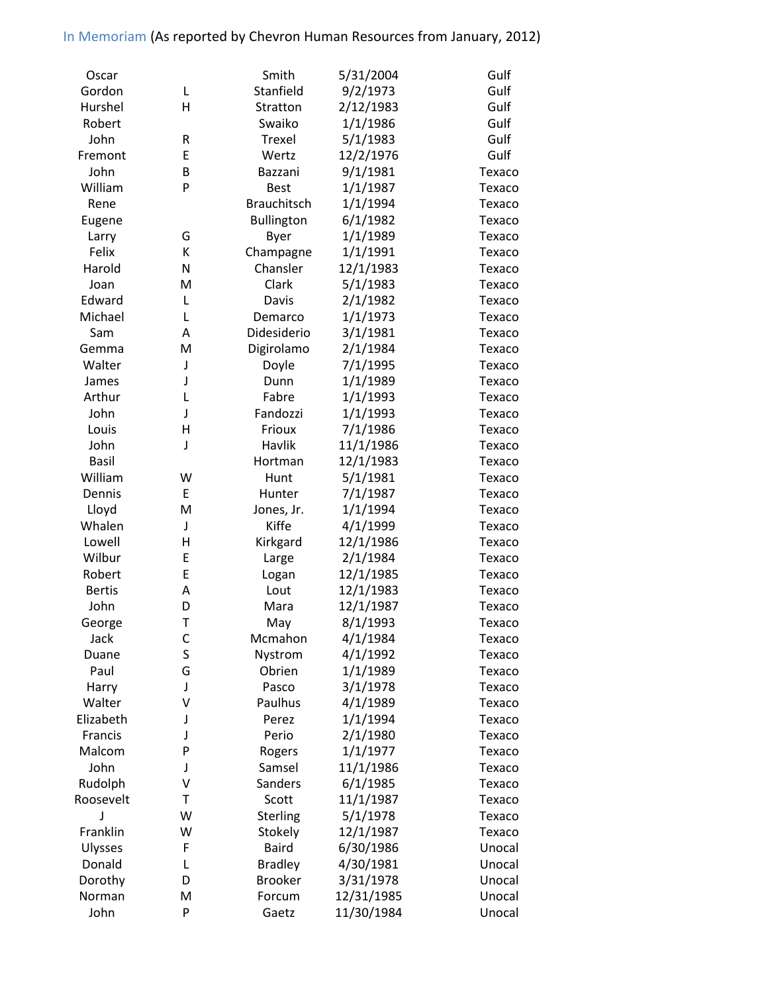| Oscar         |        | Smith              | 5/31/2004            | Gulf   |
|---------------|--------|--------------------|----------------------|--------|
| Gordon        | L      | Stanfield          | 9/2/1973             | Gulf   |
| Hurshel       | H      | Stratton           | 2/12/1983            | Gulf   |
| Robert        |        | Swaiko             | 1/1/1986             | Gulf   |
| John          | R      | Trexel             | 5/1/1983             | Gulf   |
| Fremont       | E      | Wertz              | 12/2/1976            | Gulf   |
| John          | B      | Bazzani            | 9/1/1981             | Texaco |
| William       | P      | <b>Best</b>        | 1/1/1987             | Texaco |
| Rene          |        | <b>Brauchitsch</b> | 1/1/1994             | Texaco |
| Eugene        |        | <b>Bullington</b>  | 6/1/1982             | Texaco |
| Larry         | G      | Byer               | 1/1/1989             | Texaco |
| Felix         | К      | Champagne          | 1/1/1991             | Texaco |
| Harold        | N      | Chansler           | 12/1/1983            | Texaco |
| Joan          | M      | Clark              | 5/1/1983             | Texaco |
| Edward        | L      | Davis              | 2/1/1982             | Texaco |
| Michael       | Г      | Demarco            | 1/1/1973             | Texaco |
| Sam           | Α      | Didesiderio        | 3/1/1981             | Texaco |
| Gemma         | M      | Digirolamo         | 2/1/1984             | Texaco |
| Walter        | J      | Doyle              | 7/1/1995             | Texaco |
| James         | J      | Dunn               | 1/1/1989             | Texaco |
| Arthur        | L      | Fabre              | 1/1/1993             | Texaco |
| John          | J      | Fandozzi           | 1/1/1993             | Texaco |
| Louis         | Η      | Frioux             | 7/1/1986             | Texaco |
| John          | J      | Havlik             | 11/1/1986            | Texaco |
| <b>Basil</b>  |        | Hortman            | 12/1/1983            | Texaco |
| William       | W      | Hunt               | 5/1/1981             | Texaco |
| Dennis        | E      | Hunter             | 7/1/1987             | Texaco |
| Lloyd         | M      | Jones, Jr.         | 1/1/1994             | Texaco |
| Whalen        | J      | Kiffe              | 4/1/1999             | Texaco |
| Lowell        | Н      | Kirkgard           | 12/1/1986            | Texaco |
| Wilbur        | E      | Large              | 2/1/1984             | Texaco |
| Robert        | E      | Logan              | 12/1/1985            | Texaco |
| <b>Bertis</b> | Α      | Lout               | 12/1/1983            | Texaco |
| John          | D      | Mara               | 12/1/1987            | Texaco |
|               | T      |                    | 8/1/1993             | Texaco |
| George        |        | May                |                      |        |
| Jack          | С<br>S | Mcmahon<br>Nystrom | 4/1/1984<br>4/1/1992 | Texaco |
| Duane<br>Paul | G      |                    |                      | Texaco |
|               |        | Obrien<br>Pasco    | 1/1/1989<br>3/1/1978 | Texaco |
| Harry         | J      |                    |                      | Texaco |
| Walter        | ٧      | Paulhus            | 4/1/1989             | Texaco |
| Elizabeth     | J      | Perez              | 1/1/1994             | Texaco |
| Francis       | J      | Perio              | 2/1/1980             | Texaco |
| Malcom        | P      | Rogers             | 1/1/1977             | Texaco |
| John          | J      | Samsel             | 11/1/1986            | Texaco |
| Rudolph       | ٧      | <b>Sanders</b>     | 6/1/1985             | Texaco |
| Roosevelt     | T      | Scott              | 11/1/1987            | Texaco |
| J             | W      | Sterling           | 5/1/1978             | Texaco |
| Franklin      | W      | Stokely            | 12/1/1987            | Texaco |
| Ulysses       | F      | <b>Baird</b>       | 6/30/1986            | Unocal |
| Donald        | L      | <b>Bradley</b>     | 4/30/1981            | Unocal |
| Dorothy       | D      | <b>Brooker</b>     | 3/31/1978            | Unocal |
| Norman        | Μ      | Forcum             | 12/31/1985           | Unocal |
| John          | P      | Gaetz              | 11/30/1984           | Unocal |